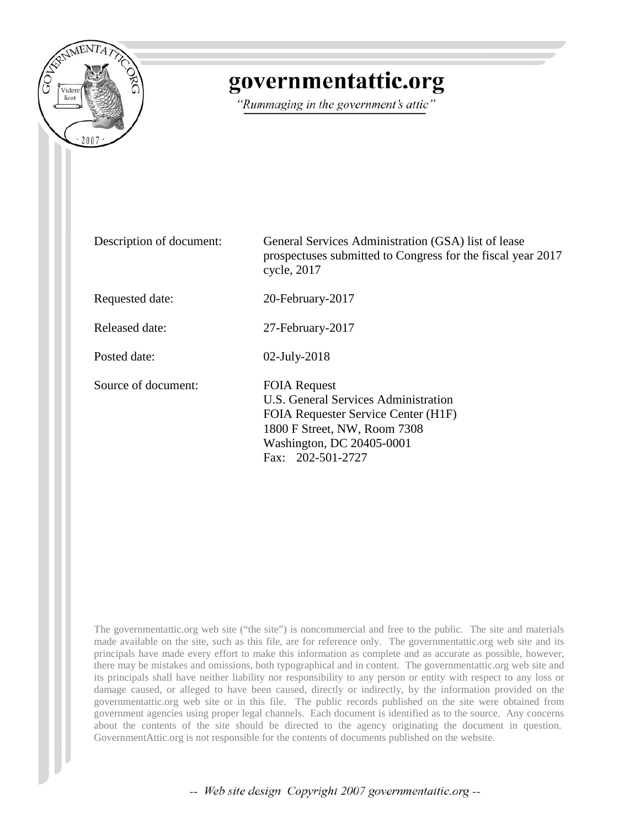

## governmentattic.org

"Rummaging in the government's attic"

| Description of document: | General Services Administration (GSA) list of lease<br>prospectuses submitted to Congress for the fiscal year 2017<br>cycle, 2017                                                    |  |
|--------------------------|--------------------------------------------------------------------------------------------------------------------------------------------------------------------------------------|--|
| Requested date:          | 20-February-2017                                                                                                                                                                     |  |
| Released date:           | 27-February-2017                                                                                                                                                                     |  |
| Posted date:             | $02$ -July-2018                                                                                                                                                                      |  |
| Source of document:      | <b>FOIA Request</b><br>U.S. General Services Administration<br>FOIA Requester Service Center (H1F)<br>1800 F Street, NW, Room 7308<br>Washington, DC 20405-0001<br>Fax: 202-501-2727 |  |

The governmentattic.org web site ("the site") is noncommercial and free to the public. The site and materials made available on the site, such as this file, are for reference only. The governmentattic.org web site and its principals have made every effort to make this information as complete and as accurate as possible, however, there may be mistakes and omissions, both typographical and in content. The governmentattic.org web site and its principals shall have neither liability nor responsibility to any person or entity with respect to any loss or damage caused, or alleged to have been caused, directly or indirectly, by the information provided on the governmentattic.org web site or in this file. The public records published on the site were obtained from government agencies using proper legal channels. Each document is identified as to the source. Any concerns about the contents of the site should be directed to the agency originating the document in question. GovernmentAttic.org is not responsible for the contents of documents published on the website.

-- Web site design Copyright 2007 governmentattic.org --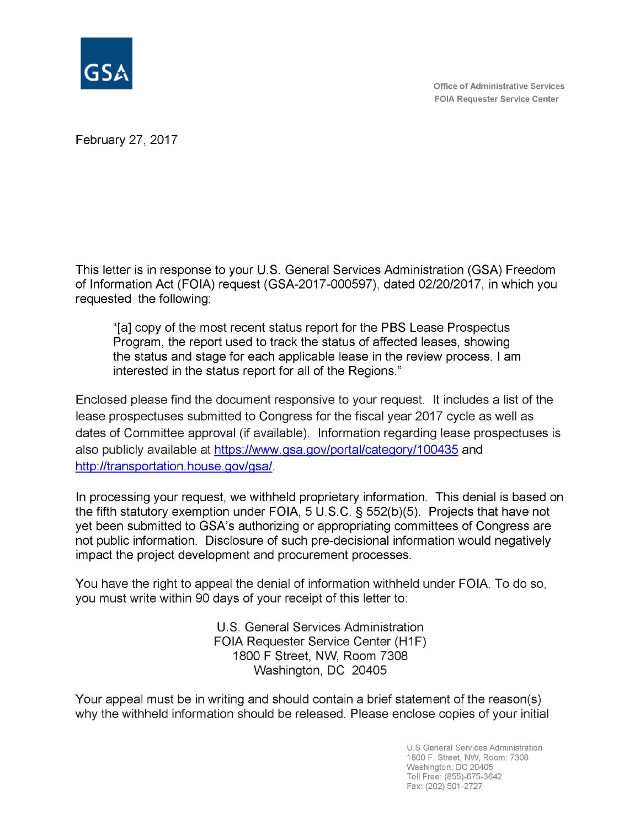

February 27, 2017

This letter is in response to your U.S. General Services Administration (GSA) Freedom of Information Act (FOIA) request (GSA-2017-000597), dated 02/20/2017, in which you requested the following:

"[a] copy of the most recent status report for the PBS Lease Prospectus Program, the report used to track the status of affected leases, showing the status and stage for each applicable lease in the review process. I am interested in the status report for all of the Regions."

Enclosed please find the document responsive to your request. It includes a list of the lease prospectuses submitted to Congress for the fiscal year 2017 cycle as well as dates of Committee approval (if available). Information regarding lease prospectuses is also publicly available at https://www.gsa.gov/portal/category/100435 and http://transportation.house.gov/gsa/.

In processing your request, we withheld proprietary information. This denial is based on the fifth statutory exemption under FOIA, 5 U.S.C. § 552(b)(5). Projects that have not yet been submitted to GSA's authorizing or appropriating committees of Congress are not public information. Disclosure of such pre-decisional information would negatively impact the project development and procurement processes.

You have the right to appeal the denial of information withheld under FOIA. To do so, you must write within 90 days of your receipt of this letter to:

> U.S. General Services Administration FOIA Requester Service Center (H1F) 1800 F Street, NW, Room 7308 Washington, DC 20405

Your appeal must be in writing and should contain a brief statement of the reason(s) why the withheld information should be released. Please enclose copies of your initial

> U.S General Services Administration 1800 F. Street, NW, Room: 7308 Washington, DC 20405 Toll Free: (855)-675-3642 Fax: (202) 501-2727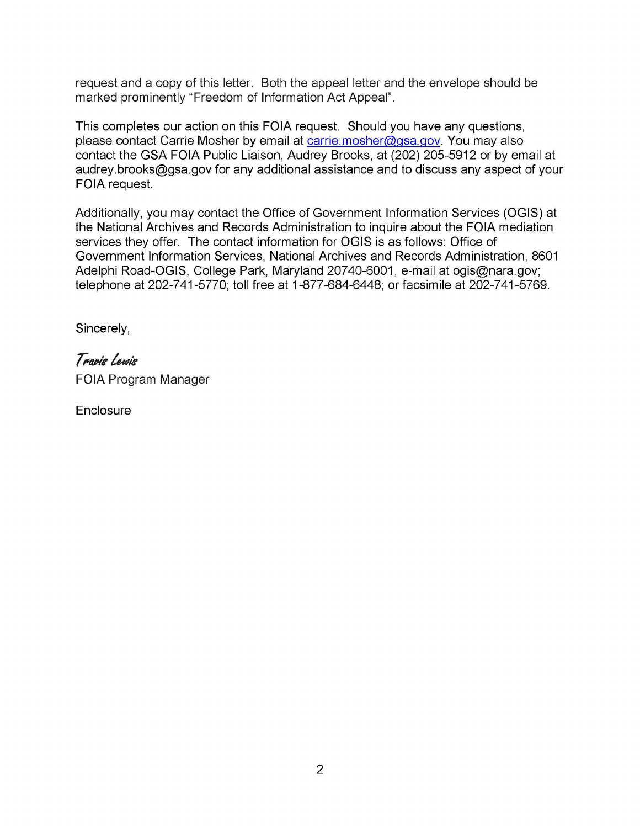request and a copy of this letter. Both the appeal letter and the envelope should be marked prominently "Freedom of Information Act Appeal".

This completes our action on this FOIA request. Should you have any questions, please contact Carrie Mosher by email at carrie.mosher@gsa.gov. You may also contact the GSA FOIA Public Liaison, Audrey Brooks, at (202) 205-5912 or by email at audrey.brooks@gsa.gov for any additional assistance and to discuss any aspect of your FOIA request.

Additionally, you may contact the Office of Government Information Services (OGIS) at the National Archives and Records Administration to inquire about the FOIA mediation services they offer. The contact information for OGIS is as follows: Office of Government Information Services, National Archives and Records Administration, 8601 Adelphi Road-OGIS, College Park, Maryland 20740-6001, e-mail at ogis@nara.gov; telephone at 202-7 41-5770; toll free at 1-877-684-6448; or facsimile at 202-7 41-5769.

Sincerely,

## **f;alN'&> /uJ1'&1**  FOIA Program Manager

**Enclosure**